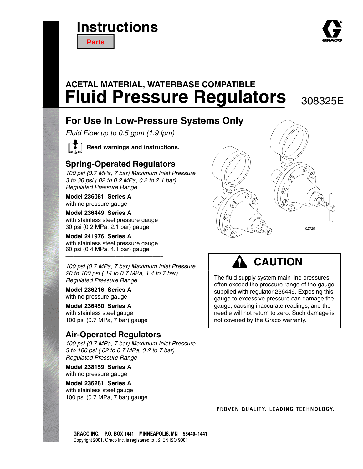# **Instructions**

**[Parts](#page-12-0)**

# **Fluid Pressure Regulators** 308325E **ACETAL MATERIAL, WATERBASE COMPATIBLE**

## **For Use In Low-Pressure Systems Only**

*Fluid Flow up to 0.5 gpm (1.9 lpm)*



**Read warnings and instructions.**

## **Spring-Operated Regulators**

*100 psi (0.7 MPa, 7 bar) Maximum Inlet Pressure 3 to 30 psi (.02 to 0.2 MPa, 0.2 to 2.1 bar) Regulated Pressure Range*

**Model 236081, Series A** with no pressure gauge

#### **Model 236449, Series A**

with stainless steel pressure gauge 30 psi (0.2 MPa, 2.1 bar) gauge

#### **Model 241976, Series A**

with stainless steel pressure gauge 60 psi (0.4 MPa, 4.1 bar) gauge \_\_\_\_\_\_\_\_\_\_\_\_\_\_\_\_\_\_\_\_\_\_\_\_\_\_\_\_\_\_\_\_\_\_\_\_\_

*100 psi (0.7 MPa, 7 bar) Maximum Inlet Pressure 20 to 100 psi (.14 to 0.7 MPa, 1.4 to 7 bar) Regulated Pressure Range*

**Model 236216, Series A** with no pressure gauge

**Model 236450, Series A** with stainless steel gauge 100 psi (0.7 MPa, 7 bar) gauge

## **Air-Operated Regulators**

*100 psi (0.7 MPa, 7 bar) Maximum Inlet Pressure 3 to 100 psi (.02 to 0.7 MPa, 0.2 to 7 bar) Regulated Pressure Range*

**Model 238159, Series A** with no pressure gauge

**Model 236281, Series A** with stainless steel gauge 100 psi (0.7 MPa, 7 bar) gauge



# **CAUTION**

The fluid supply system main line pressures often exceed the pressure range of the gauge supplied with regulator 236449. Exposing this gauge to excessive pressure can damage the gauge, causing inaccurate readings, and the needle will not return to zero. Such damage is not covered by the Graco warranty.

PROVEN QUALITY, LEADING TECHNOLOGY,

GRACO INC. P.O. BOX 1441 MINNEAPOLIS, MN 55440-1441 Copyright 2001, Graco Inc. is registered to I.S. EN ISO 9001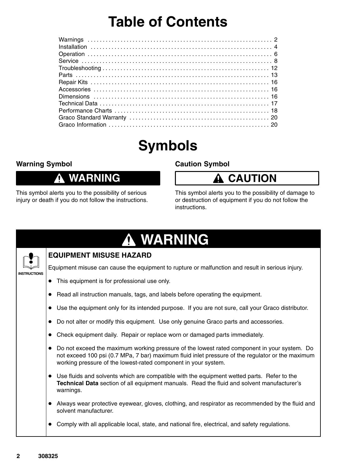# **Table of Contents**

# **Symbols**

### **Warning Symbol**

## **WARNING**

This symbol alerts you to the possibility of serious injury or death if you do not follow the instructions.

### **Caution Symbol**

# **A CAUTION**

This symbol alerts you to the possibility of damage to or destruction of equipment if you do not follow the instructions.



Comply with all applicable local, state, and national fire, electrical, and safety regulations.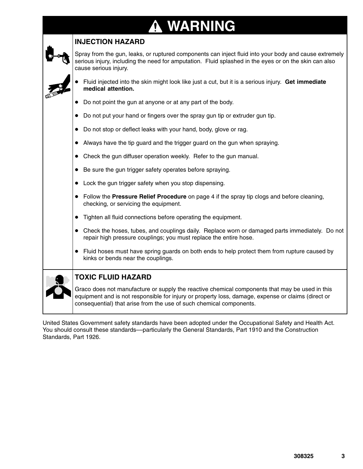### **WARNING**  $\boldsymbol{\Lambda}$

| <b>INJECTION HAZARD</b>                                                                                                                                                                                                                                                     |
|-----------------------------------------------------------------------------------------------------------------------------------------------------------------------------------------------------------------------------------------------------------------------------|
| Spray from the gun, leaks, or ruptured components can inject fluid into your body and cause extremely<br>serious injury, including the need for amputation. Fluid splashed in the eyes or on the skin can also<br>cause serious injury.                                     |
| • Fluid injected into the skin might look like just a cut, but it is a serious injury. Get immediate<br>medical attention.                                                                                                                                                  |
| Do not point the gun at anyone or at any part of the body.                                                                                                                                                                                                                  |
| • Do not put your hand or fingers over the spray gun tip or extruder gun tip.                                                                                                                                                                                               |
| Do not stop or deflect leaks with your hand, body, glove or rag.<br>$\bullet$                                                                                                                                                                                               |
| Always have the tip guard and the trigger guard on the gun when spraying.<br>$\bullet$                                                                                                                                                                                      |
| • Check the gun diffuser operation weekly. Refer to the gun manual.                                                                                                                                                                                                         |
| • Be sure the gun trigger safety operates before spraying.                                                                                                                                                                                                                  |
| • Lock the gun trigger safety when you stop dispensing.                                                                                                                                                                                                                     |
| • Follow the Pressure Relief Procedure on page 4 if the spray tip clogs and before cleaning,<br>checking, or servicing the equipment.                                                                                                                                       |
| Tighten all fluid connections before operating the equipment.                                                                                                                                                                                                               |
| • Check the hoses, tubes, and couplings daily. Replace worn or damaged parts immediately. Do not<br>repair high pressure couplings; you must replace the entire hose.                                                                                                       |
| • Fluid hoses must have spring guards on both ends to help protect them from rupture caused by<br>kinks or bends near the couplings.                                                                                                                                        |
| <b>TOXIC FLUID HAZARD</b>                                                                                                                                                                                                                                                   |
| Graco does not manufacture or supply the reactive chemical components that may be used in this<br>equipment and is not responsible for injury or property loss, damage, expense or claims (direct or<br>consequential) that arise from the use of such chemical components. |

United States Government safety standards have been adopted under the Occupational Safety and Health Act. You should consult these standards––particularly the General Standards, Part 1910 and the Construction Standards, Part 1926.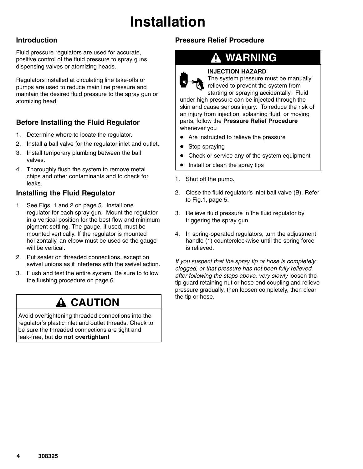# **Installation**

### **Introduction**

Fluid pressure regulators are used for accurate, positive control of the fluid pressure to spray guns, dispensing valves or atomizing heads.

Regulators installed at circulating line take-offs or pumps are used to reduce main line pressure and maintain the desired fluid pressure to the spray gun or atomizing head.

## **Before Installing the Fluid Regulator**

- 1. Determine where to locate the regulator.
- 2. Install a ball valve for the regulator inlet and outlet.
- 3. Install temporary plumbing between the ball valves.
- 4. Thoroughly flush the system to remove metal chips and other contaminants and to check for leaks.

### **Installing the Fluid Regulator**

- 1. See Figs. 1 and 2 on page 5. Install one regulator for each spray gun. Mount the regulator in a vertical position for the best flow and minimum pigment settling. The gauge, if used, must be mounted vertically. If the regulator is mounted horizontally, an elbow must be used so the gauge will be vertical.
- 2. Put sealer on threaded connections, except on swivel unions as it interferes with the swivel action.
- 3. Flush and test the entire system. Be sure to follow the flushing procedure on page 6.

## **A CAUTION**

Avoid overtightening threaded connections into the regulator's plastic inlet and outlet threads. Check to be sure the threaded connections are tight and leak-free, but **do not overtighten!**

## **Pressure Relief Procedure**

## **WARNING**



#### **INJECTION HAZARD**

The system pressure must be manually relieved to prevent the system from starting or spraying accidentally. Fluid

under high pressure can be injected through the skin and cause serious injury. To reduce the risk of an injury from injection, splashing fluid, or moving parts, follow the **Pressure Relief Procedure** whenever you

- Are instructed to relieve the pressure
- $\bullet$ Stop spraying
- $\bullet$ Check or service any of the system equipment
- $\bullet$ Install or clean the spray tips
- 1. Shut off the pump.
- 2. Close the fluid regulator's inlet ball valve (B). Refer to Fig.1, page 5.
- 3. Relieve fluid pressure in the fluid regulator by triggering the spray gun.
- 4. In spring-operated regulators, turn the adjustment handle (1) counterclockwise until the spring force is relieved.

*If you suspect that the spray tip or hose is completely clogged, or that pressure has not been fully relieved after following the steps above, very slowly* loosen the tip guard retaining nut or hose end coupling and relieve pressure gradually, then loosen completely, then clear the tip or hose.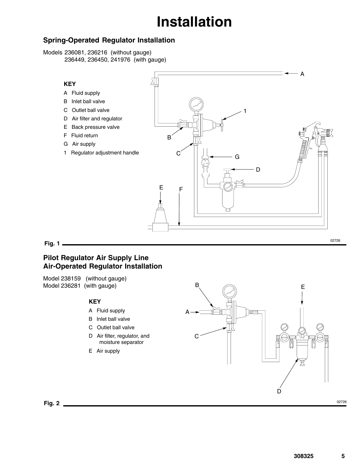# **Installation**

### **Spring-Operated Regulator Installation**

Models 236081, 236216 (without gauge) 236449, 236450, 241976 (with gauge)



#### **Fig. 1**

### **Pilot Regulator Air Supply Line Air-Operated Regulator Installation**

Model 238159 (without gauge) Model 236281 (with gauge)

#### **KEY**

- A Fluid supply
- B Inlet ball valve
- C Outlet ball valve
- D Air filter, regulator, and moisture separator
- E Air supply



**Fig. 2**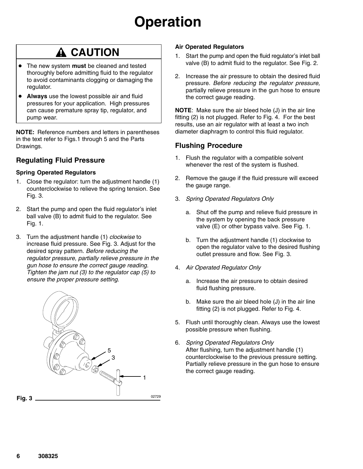# **Operation**

# **A CAUTION**

- $\bullet$  The new system **must** be cleaned and tested thoroughly before admitting fluid to the regulator to avoid contaminants clogging or damaging the regulator.
- **Always** use the lowest possible air and fluid pressures for your application. High pressures can cause premature spray tip, regulator, and pump wear.

**NOTE:** Reference numbers and letters in parentheses in the text refer to Figs.1 through 5 and the Parts Drawings.

### **Regulating Fluid Pressure**

#### **Spring Operated Regulators**

- 1. Close the regulator: turn the adjustment handle (1) counterclockwise to relieve the spring tension. See Fig. 3.
- 2. Start the pump and open the fluid regulator's inlet ball valve (B) to admit fluid to the regulator. See Fig. 1.
- 3. Turn the adjustment handle (1) *clockwise* to increase fluid pressure. See Fig. 3. Adjust for the desired spray pattern. *Before reducing the regulator pressure, partially relieve pressure in the gun hose to ensure the correct gauge reading. Tighten the jam nut (3) to the regulator cap (5) to ensure the proper pressure setting.*



#### **Air Operated Regulators**

- 1. Start the pump and open the fluid regulator's inlet ball valve (B) to admit fluid to the regulator. See Fig. 2.
- 2. Increase the air pressure to obtain the desired fluid pressure. *Before reducing the regulator pressure,* partially relieve pressure in the gun hose to ensure the correct gauge reading.

**NOTE**: Make sure the air bleed hole (J) in the air line fitting (2) is not plugged. Refer to Fig. 4. For the best results, use an air regulator with at least a two inch diameter diaphragm to control this fluid regulator.

### **Flushing Procedure**

- 1. Flush the regulator with a compatible solvent whenever the rest of the system is flushed.
- 2. Remove the gauge if the fluid pressure will exceed the gauge range.
- 3. *Spring Operated Regulators Only*
	- a. Shut off the pump and relieve fluid pressure in the system by opening the back pressure valve (E) or other bypass valve. See Fig. 1.
	- b. Turn the adjustment handle (1) clockwise to open the regulator valve to the desired flushing outlet pressure and flow. See Fig. 3.
- 4. *Air Operated Regulator Only*
	- a. Increase the air pressure to obtain desired fluid flushing pressure.
	- b. Make sure the air bleed hole (J) in the air line fitting (2) is not plugged. Refer to Fig. 4.
- 5. Flush until thoroughly clean. Always use the lowest possible pressure when flushing.
- 6. *Spring Operated Regulators Only* After flushing, turn the adjustment handle (1) counterclockwise to the previous pressure setting. Partially relieve pressure in the gun hose to ensure the correct gauge reading.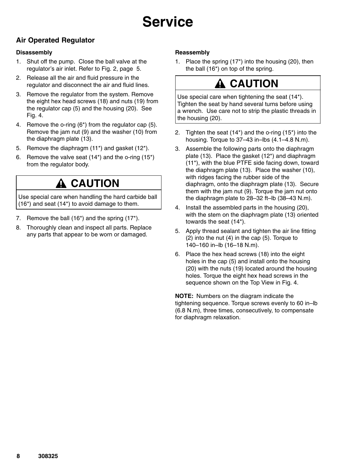### **Air Operated Regulator**

#### **Disassembly**

- 1. Shut off the pump. Close the ball valve at the regulator's air inlet. Refer to Fig. 2, page 5.
- 2. Release all the air and fluid pressure in the regulator and disconnect the air and fluid lines.
- 3. Remove the regulator from the system. Remove the eight hex head screws (18) and nuts (19) from the regulator cap (5) and the housing (20). See Fig. 4.
- 4. Remove the o-ring (6\*) from the regulator cap (5). Remove the jam nut (9) and the washer (10) from the diaphragm plate (13).
- 5. Remove the diaphragm (11\*) and gasket (12\*).
- 6. Remove the valve seat (14\*) and the o-ring (15\*) from the regulator body.

## **A** CAUTION

Use special care when handling the hard carbide ball (16\*) and seat (14\*) to avoid damage to them.

- 7. Remove the ball (16\*) and the spring (17\*).
- 8. Thoroughly clean and inspect all parts. Replace any parts that appear to be worn or damaged.

#### **Reassembly**

1. Place the spring (17\*) into the housing (20), then the ball (16\*) on top of the spring.

# **CAUTION**

Use special care when tightening the seat (14\*). Tighten the seat by hand several turns before using a wrench. Use care not to strip the plastic threads in the housing (20).

- 2. Tighten the seat (14\*) and the o-ring (15\*) into the housing. Torque to 37–43 in–lbs (4.1–4.8 N.m).
- 3. Assemble the following parts onto the diaphragm plate (13). Place the gasket (12\*) and diaphragm (11\*), with the blue PTFE side facing down, toward the diaphragm plate (13). Place the washer (10), with ridges facing the rubber side of the diaphragm, onto the diaphragm plate (13). Secure them with the jam nut (9). Torque the jam nut onto the diaphragm plate to 28–32 ft–lb (38–43 N.m).
- 4. Install the assembled parts in the housing (20), with the stem on the diaphragm plate (13) oriented towards the seat (14\*).
- 5. Apply thread sealant and tighten the air line fitting (2) into the nut (4) in the cap (5). Torque to 140–160 in–lb (16–18 N.m).
- 6. Place the hex head screws (18) into the eight holes in the cap (5) and install onto the housing (20) with the nuts (19) located around the housing holes. Torque the eight hex head screws in the sequence shown on the Top View in Fig. 4.

**NOTE:** Numbers on the diagram indicate the tightening sequence. Torque screws evenly to 60 in–lb (6.8 N.m), three times, consecutively, to compensate for diaphragm relaxation.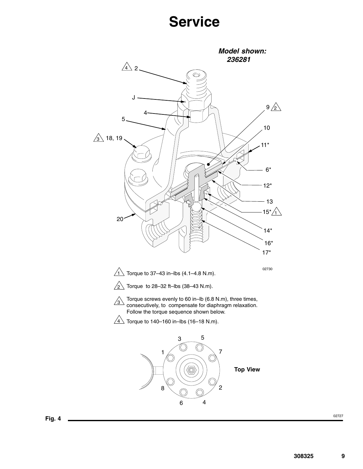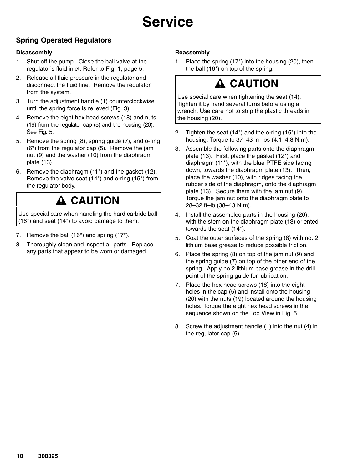## **Spring Operated Regulators**

#### **Disassembly**

- 1. Shut off the pump. Close the ball valve at the regulator's fluid inlet. Refer to Fig. 1, page 5.
- 2. Release all fluid pressure in the regulator and disconnect the fluid line. Remove the regulator from the system.
- 3. Turn the adjustment handle (1) counterclockwise until the spring force is relieved (Fig. 3).
- 4. Remove the eight hex head screws (18) and nuts (19) from the regulator cap (5) and the housing (20). See Fig. 5.
- 5. Remove the spring (8), spring guide (7), and o-ring (6\*) from the regulator cap (5). Remove the jam nut (9) and the washer (10) from the diaphragm plate (13).
- 6. Remove the diaphragm (11\*) and the gasket (12). Remove the valve seat (14\*) and o-ring (15\*) from the regulator body.

# **A CAUTION**

Use special care when handling the hard carbide ball (16\*) and seat (14\*) to avoid damage to them.

- 7. Remove the ball (16\*) and spring (17\*).
- 8. Thoroughly clean and inspect all parts. Replace any parts that appear to be worn or damaged.

### **Reassembly**

1. Place the spring (17\*) into the housing (20), then the ball (16\*) on top of the spring.

# **CAUTION**

Use special care when tightening the seat (14). Tighten it by hand several turns before using a wrench. Use care not to strip the plastic threads in the housing (20).

- 2. Tighten the seat (14\*) and the o-ring (15\*) into the housing. Torque to 37–43 in–lbs (4.1–4.8 N.m).
- 3. Assemble the following parts onto the diaphragm plate (13). First, place the gasket (12\*) and diaphragm (11\*), with the blue PTFE side facing down, towards the diaphragm plate (13). Then, place the washer (10), with ridges facing the rubber side of the diaphragm, onto the diaphragm plate (13). Secure them with the jam nut (9). Torque the jam nut onto the diaphragm plate to 28–32 ft–lb (38–43 N.m).
- 4. Install the assembled parts in the housing (20), with the stem on the diaphragm plate (13) oriented towards the seat (14\*).
- 5. Coat the outer surfaces of the spring (8) with no. 2 lithium base grease to reduce possible friction.
- 6. Place the spring (8) on top of the jam nut (9) and the spring guide (7) on top of the other end of the spring. Apply no.2 lithium base grease in the drill point of the spring guide for lubrication.
- 7. Place the hex head screws (18) into the eight holes in the cap (5) and install onto the housing (20) with the nuts (19) located around the housing holes. Torque the eight hex head screws in the sequence shown on the Top View in Fig. 5.
- 8. Screw the adjustment handle (1) into the nut (4) in the regulator cap (5).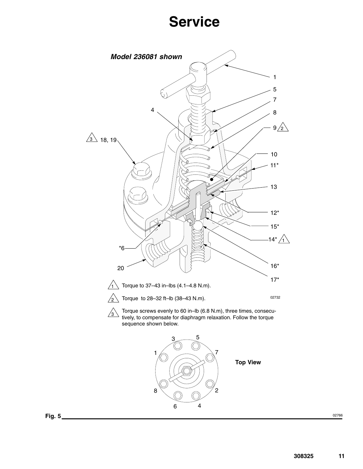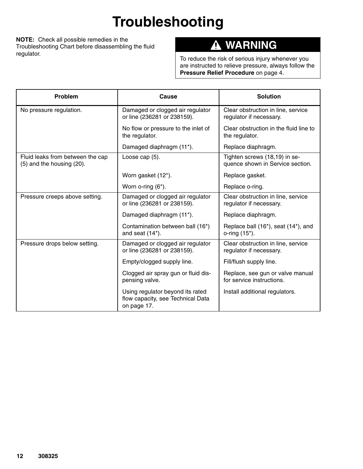# **Troubleshooting**

**NOTE:** Check all possible remedies in the Troubleshooting Chart before disassembling the fluid regulator.

#### **WARNING**  $\boldsymbol{\Lambda}$

To reduce the risk of serious injury whenever you are instructed to relieve pressure, always follow the **Pressure Relief Procedure** on page 4.

| <b>Problem</b>                                                | Cause                                                                                | <b>Solution</b>                                                   |
|---------------------------------------------------------------|--------------------------------------------------------------------------------------|-------------------------------------------------------------------|
| No pressure regulation.                                       | Damaged or clogged air regulator<br>or line (236281 or 238159).                      | Clear obstruction in line, service<br>regulator if necessary.     |
|                                                               | No flow or pressure to the inlet of<br>the regulator.                                | Clear obstruction in the fluid line to<br>the regulator.          |
|                                                               | Damaged diaphragm (11*).                                                             | Replace diaphragm.                                                |
| Fluid leaks from between the cap<br>(5) and the housing (20). | Loose cap (5).                                                                       | Tighten screws (18,19) in se-<br>quence shown in Service section. |
|                                                               | Worn gasket (12*).                                                                   | Replace gasket.                                                   |
|                                                               | Worn o-ring (6*).                                                                    | Replace o-ring.                                                   |
| Pressure creeps above setting.                                | Damaged or clogged air regulator<br>or line (236281 or 238159).                      | Clear obstruction in line, service<br>regulator if necessary.     |
|                                                               | Damaged diaphragm (11*).                                                             | Replace diaphragm.                                                |
|                                                               | Contamination between ball (16*)<br>and seat (14*).                                  | Replace ball (16*), seat (14*), and<br>o-ring (15*).              |
| Pressure drops below setting.                                 | Damaged or clogged air regulator<br>or line (236281 or 238159).                      | Clear obstruction in line, service<br>regulator if necessary.     |
|                                                               | Empty/clogged supply line.                                                           | Fill/flush supply line.                                           |
|                                                               | Clogged air spray gun or fluid dis-<br>pensing valve.                                | Replace, see gun or valve manual<br>for service instructions.     |
|                                                               | Using regulator beyond its rated<br>flow capacity, see Technical Data<br>on page 17. | Install additional regulators.                                    |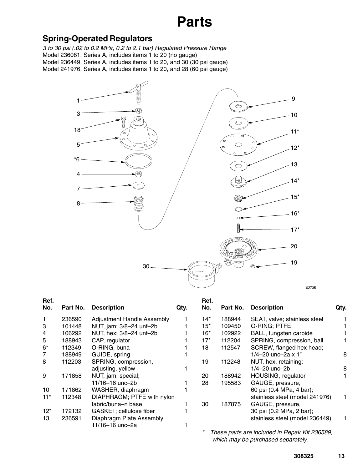# **Parts**

## <span id="page-12-0"></span>**Spring-Operated Regulators**

*3 to 30 psi (.02 to 0.2 MPa, 0.2 to 2.1 bar) Regulated Pressure Range* Model 236081, Series A, includes items 1 to 20 (no gauge) Model 236449, Series A, includes items 1 to 20, and 30 (30 psi gauge) Model 241976, Series A, includes items 1 to 20, and 28 (60 psi gauge)



| Ref.<br>No. | Part No. | <b>Description</b>         | Qty. | Ref.<br>No. | Part No. | <b>Description</b>             | Qty. |
|-------------|----------|----------------------------|------|-------------|----------|--------------------------------|------|
|             | 236590   | Adjustment Handle Assembly |      | $14*$       | 188944   | SEAT, valve; stainless steel   |      |
| 3           | 101448   | NUT, jam; 3/8-24 unf-2b    |      | $15*$       | 109450   | O-RING; PTFE                   |      |
| 4           | 106292   | NUT, hex; 3/8-24 unf-2b    |      | $16*$       | 102922   | BALL, tungsten carbide         |      |
| 5           | 188943   | CAP, regulator             |      | $17*$       | 112204   | SPRING, compression, ball      |      |
| $6*$        | 112349   | O-RING, buna               |      | 18          | 112547   | SCREW, flanged hex head;       |      |
| 7           | 188949   | GUIDE, spring              |      |             |          | 1/4-20 unc-2a x 1"             | 8    |
| 8           | 112203   | SPRING, compression,       |      | 19          | 112248   | NUT, hex, retaining;           |      |
|             |          | adjusting, yellow          |      |             |          | 1/4-20 unc-2b                  | 8    |
| 9           | 171858   | NUT, jam, special;         |      | 20          | 188942   | HOUSING, regulator             |      |
|             |          | 11/16-16 unc-2b            |      | 28          | 195583   | GAUGE, pressure,               |      |
| 10          | 171862   | WASHER, diaphragm          |      |             |          | 60 psi (0.4 MPa, 4 bar);       |      |
| $11*$       | 112348   | DIAPHRAGM; PTFE with nylon |      |             |          | stainless steel (model 241976) |      |
|             |          | fabric/buna-n base         |      | 30          | 187875   | GAUGE, pressure,               |      |
| $12*$       | 172132   | GASKET; cellulose fiber    |      |             |          | 30 psi (0.2 MPa, 2 bar);       |      |
| 13          | 236591   | Diaphragm Plate Assembly   |      |             |          | stainless steel (model 236449) |      |
|             |          | 11/16-16 unc-2a            |      |             |          |                                |      |

*\* These parts are included in Repair Kit 236589, which may be purchased separately.*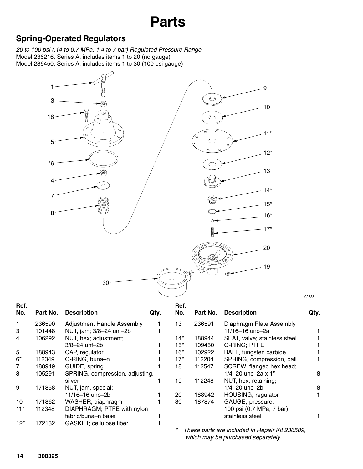# **Parts**

## **Spring-Operated Regulators**

4

7

8

\*6

1

3

18

5

*20 to 100 psi (.14 to 0.7 MPa, 1.4 to 7 bar) Regulated Pressure Range* Model 236216, Series A, includes items 1 to 20 (no gauge) Model 236450, Series A, includes items 1 to 30 (100 psi gauge)



02735

| Ref.<br>No. | Part No. | <b>Description</b>                | Qty. | Ref.<br>No. | Part No. | <b>Description</b>                            | Qty. |
|-------------|----------|-----------------------------------|------|-------------|----------|-----------------------------------------------|------|
|             | 236590   | <b>Adjustment Handle Assembly</b> |      | 13          | 236591   | Diaphragm Plate Assembly                      |      |
| 3           | 101448   | NUT, jam; 3/8-24 unf-2b           |      |             |          | 11/16-16 unc-2a                               |      |
| 4           | 106292   | NUT, hex; adjustment;             |      | 14*         | 188944   | SEAT, valve; stainless steel                  |      |
|             |          | $3/8 - 24$ unf-2b                 |      | 15*         | 109450   | O-RING; PTFE                                  |      |
| 5           | 188943   | CAP, regulator                    |      | 16*         | 102922   | BALL, tungsten carbide                        |      |
| $6*$        | 112349   | O-RING, buna-n                    |      | $17*$       | 112204   | SPRING, compression, ball                     |      |
| 7           | 188949   | GUIDE, spring                     |      | 18          | 112547   | SCREW, flanged hex head;                      |      |
| 8           | 105291   | SPRING, compression, adjusting,   |      |             |          | 1/4-20 unc-2a $x$ 1"                          | 8    |
|             |          | silver                            |      | 19          | 112248   | NUT, hex, retaining;                          |      |
| 9           | 171858   | NUT, jam, special;                |      |             |          | 1/4-20 unc-2b                                 | 8    |
|             |          | 11/16-16 unc-2b                   |      | 20          | 188942   | HOUSING, regulator                            |      |
| 10          | 171862   | WASHER, diaphragm                 |      | 30          | 187874   | GAUGE, pressure,                              |      |
| $11*$       | 112348   | DIAPHRAGM; PTFE with nylon        |      |             |          | 100 psi (0.7 MPa, 7 bar);                     |      |
|             |          | fabric/buna-n base                |      |             |          | stainless steel                               |      |
| $12^*$      | 172132   | GASKET; cellulose fiber           |      |             |          |                                               |      |
|             |          |                                   |      | *           |          | Those parts are included in Repair Kit 236580 |      |

*\* These parts are included in Repair Kit 236589, which may be purchased separately.*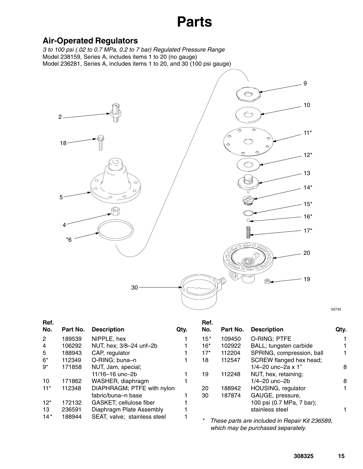# **Parts**

## **Air-Operated Regulators**

*3 to 100 psi (.02 to 0.7 MPa, 0.2 to 7 bar) Regulated Pressure Range* Model 238159, Series A, includes items 1 to 20 (no gauge) Model 236281, Series A, includes items 1 to 20, and 30 (100 psi gauge)



**Ref. No. Part No. Description Qty.** 2 189539 NIPPLE, hex 1 4 106292 NUT, hex; 3/8–24 unf–2b 1 5 188943 CAP, regulator 1 6\* 112349 O-RING; buna–n 1 9\* 171858 NUT, Jam, special; 11/16–16 unc–2b 1 10 171862 WASHER, diaphragm 1 11\* 112348 DIAPHRAGM; PTFE with nylon fabric/buna–n base 1 12\* 172132 GASKET; cellulose fiber 1 13 236591 Diaphragm Plate Assembly 1 14*\** 188944 SEAT, valve; stainless steel 1 **Ref. No. Part No. Description Qty.** 15*\** 109450 O-RING; PTFE 1 16\* 102922 BALL; tungsten carbide 1<br>17\* 112204 SPRING. compression. ball 1 SPRING, compression, ball 1 18 112547 SCREW flanged hex head;  $1/4 - 20$  unc- $2a \times 1$ "  $8$ 19 112248 NUT, hex, retaining; 1/4–20 unc–2b 8 20 188942 HOUSING, regulator 1 30 187874 GAUGE, pressure, 100 psi (0.7 MPa, 7 bar); stainless steel 1 *\* These parts are included in Repair Kit 236589,*

*which may be purchased separately.*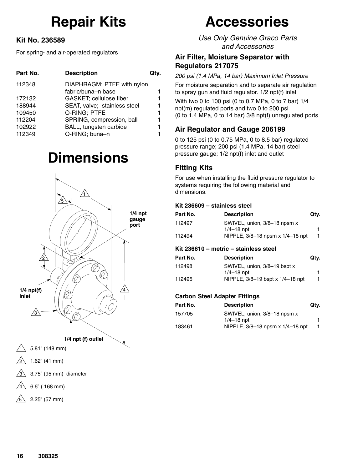# **Repair Kits**

### **Kit No. 236589**

For spring- and air-operated regulators

| <b>Description</b>           | Qty.                                             |
|------------------------------|--------------------------------------------------|
|                              |                                                  |
|                              | 1                                                |
| GASKET; cellulose fiber      | 1                                                |
| SEAT, valve; stainless steel | 1                                                |
| O-RING: PTFE                 | 1                                                |
| SPRING, compression, ball    | 1                                                |
| BALL, tungsten carbide       | 1                                                |
| O-RING; buna-n               | 1                                                |
|                              | DIAPHRAGM; PTFE with nylon<br>fabric/buna-n base |

# **Dimensions**



# **Accessories**

*Use Only Genuine Graco Parts and Accessories*

### **Air Filter, Moisture Separator with Regulators 217075**

*200 psi (1.4 MPa, 14 bar) Maximum Inlet Pressure*

For moisture separation and to separate air regulation to spray gun and fluid regulator. 1/2 npt(f) inlet

With two 0 to 100 psi (0 to 0.7 MPa, 0 to 7 bar) 1/4 npt(m) regulated ports and two 0 to 200 psi (0 to 1.4 MPa, 0 to 14 bar) 3/8 npt(f) unregulated ports

## **Air Regulator and Gauge 206199**

0 to 125 psi (0 to 0.75 MPa, 0 to 8.5 bar) regulated pressure range; 200 psi (1.4 MPa, 14 bar) steel pressure gauge; 1/2 npt(f) inlet and outlet

## **Fitting Kits**

For use when installing the fluid pressure regulator to systems requiring the following material and dimensions.

### **Kit 236609 – stainless steel**

| Part No. | <b>Description</b>               | Qtv. |
|----------|----------------------------------|------|
| 112497   | SWIVEL, union, 3/8-18 npsm x     |      |
|          | $1/4 - 18$ npt                   |      |
| 112494   | NIPPLE, 3/8-18 npsm x 1/4-18 npt |      |

### **Kit 236610 – metric – stainless steel**

| Part No. | <b>Description</b>               | Qtv. |
|----------|----------------------------------|------|
| 112498   | SWIVEL, union, 3/8-19 bspt x     |      |
|          | $1/4 - 18$ npt                   |      |
| 112495   | NIPPLE, 3/8-19 bspt x 1/4-18 npt | 1.   |

### **Carbon Steel Adapter Fittings**

| Part No. | <b>Description</b>               | Qtv. |
|----------|----------------------------------|------|
| 157705   | SWIVEL, union, 3/8-18 npsm x     |      |
|          | $1/4 - 18$ npt                   |      |
| 183461   | NIPPLE, 3/8-18 npsm x 1/4-18 npt |      |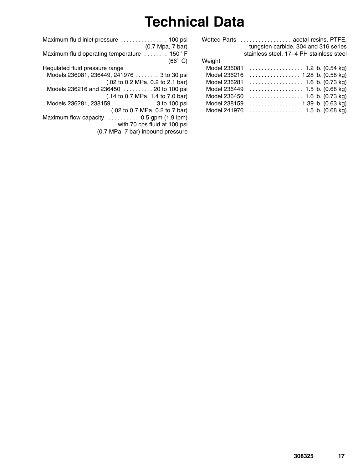# **Technical Data**

| <b>Wetted Parts</b> | acetal resins, PTFE,                     |
|---------------------|------------------------------------------|
|                     | tungsten carbide, 304 and 316 series     |
|                     | stainless steel, 17-4 PH stainless steel |
| Weight              |                                          |
| Model 236081        |                                          |
| Model 236216        |                                          |
| Model 236281        |                                          |
| Model 236449        |                                          |
| Model 236450        |                                          |
| Model 238159        | 1.39 lb. (0.63 kg)                       |
| Model 241976        |                                          |
|                     |                                          |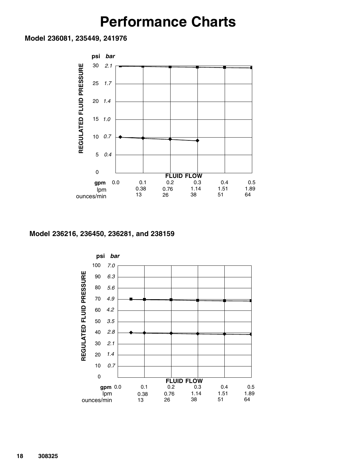# **Performance Charts**

**Model 236081, 235449, 241976**



#### **Model 236216, 236450, 236281, and 238159**

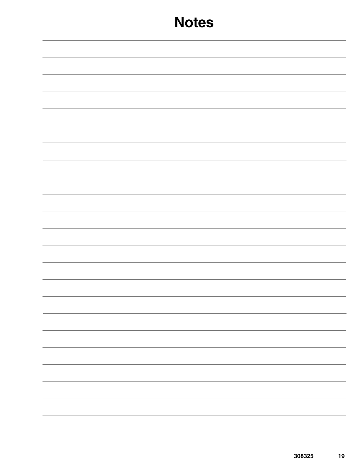|  | - |
|--|---|
|  |   |
|  |   |
|  |   |
|  |   |
|  | — |
|  |   |
|  |   |
|  |   |
|  |   |
|  |   |
|  |   |
|  |   |
|  |   |
|  |   |
|  |   |
|  |   |
|  |   |